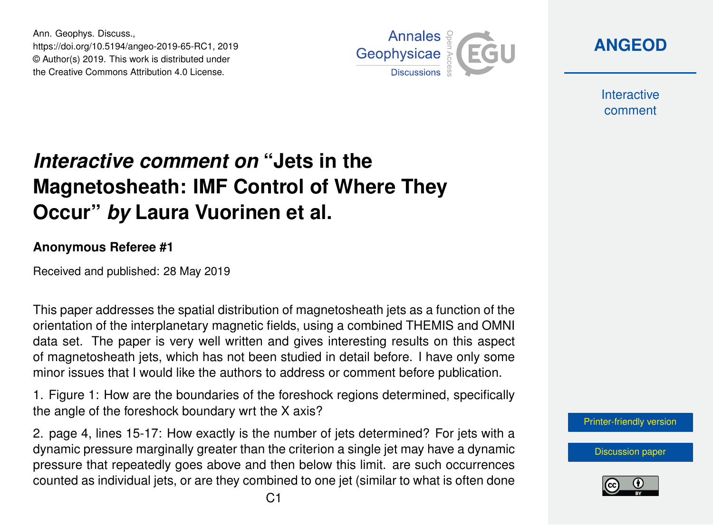Ann. Geophys. Discuss., https://doi.org/10.5194/angeo-2019-65-RC1, 2019 © Author(s) 2019. This work is distributed under the Creative Commons Attribution 4.0 License.



**[ANGEOD](https://www.ann-geophys-discuss.net/)**

**Interactive** comment

## *Interactive comment on* **"Jets in the Magnetosheath: IMF Control of Where They Occur"** *by* **Laura Vuorinen et al.**

## **Anonymous Referee #1**

Received and published: 28 May 2019

This paper addresses the spatial distribution of magnetosheath jets as a function of the orientation of the interplanetary magnetic fields, using a combined THEMIS and OMNI data set. The paper is very well written and gives interesting results on this aspect of magnetosheath jets, which has not been studied in detail before. I have only some minor issues that I would like the authors to address or comment before publication.

1. Figure 1: How are the boundaries of the foreshock regions determined, specifically the angle of the foreshock boundary wrt the X axis?

2. page 4, lines 15-17: How exactly is the number of jets determined? For jets with a dynamic pressure marginally greater than the criterion a single jet may have a dynamic pressure that repeatedly goes above and then below this limit. are such occurrences counted as individual jets, or are they combined to one jet (similar to what is often done [Printer-friendly version](https://www.ann-geophys-discuss.net/angeo-2019-65/angeo-2019-65-RC1-print.pdf)

[Discussion paper](https://www.ann-geophys-discuss.net/angeo-2019-65)